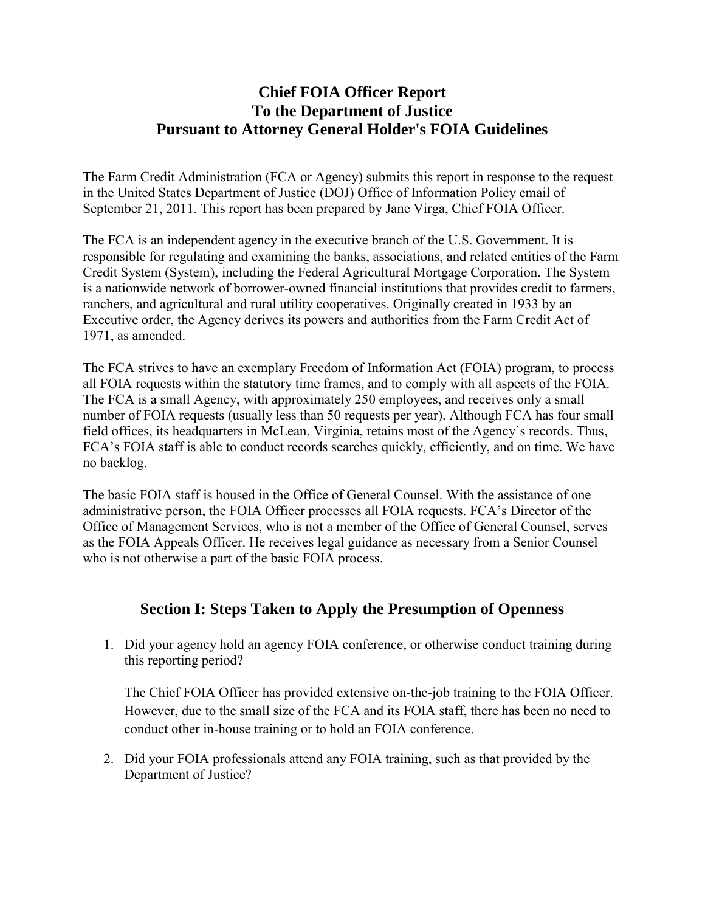### **Chief FOIA Officer Report To the Department of Justice Pursuant to Attorney General Holder's FOIA Guidelines**

The Farm Credit Administration (FCA or Agency) submits this report in response to the request in the United States Department of Justice (DOJ) Office of Information Policy email of September 21, 2011. This report has been prepared by Jane Virga, Chief FOIA Officer.

The FCA is an independent agency in the executive branch of the U.S. Government. It is responsible for regulating and examining the banks, associations, and related entities of the Farm Credit System (System), including the Federal Agricultural Mortgage Corporation. The System is a nationwide network of borrower-owned financial institutions that provides credit to farmers, ranchers, and agricultural and rural utility cooperatives. Originally created in 1933 by an Executive order, the Agency derives its powers and authorities from the Farm Credit Act of 1971, as amended.

The FCA strives to have an exemplary Freedom of Information Act (FOIA) program, to process all FOIA requests within the statutory time frames, and to comply with all aspects of the FOIA. The FCA is a small Agency, with approximately 250 employees, and receives only a small number of FOIA requests (usually less than 50 requests per year). Although FCA has four small field offices, its headquarters in McLean, Virginia, retains most of the Agency's records. Thus, FCA's FOIA staff is able to conduct records searches quickly, efficiently, and on time. We have no backlog.

The basic FOIA staff is housed in the Office of General Counsel. With the assistance of one administrative person, the FOIA Officer processes all FOIA requests. FCA's Director of the Office of Management Services, who is not a member of the Office of General Counsel, serves as the FOIA Appeals Officer. He receives legal guidance as necessary from a Senior Counsel who is not otherwise a part of the basic FOIA process.

### **Section I: Steps Taken to Apply the Presumption of Openness**

1. Did your agency hold an agency FOIA conference, or otherwise conduct training during this reporting period?

The Chief FOIA Officer has provided extensive on-the-job training to the FOIA Officer. However, due to the small size of the FCA and its FOIA staff, there has been no need to conduct other in-house training or to hold an FOIA conference.

2. Did your FOIA professionals attend any FOIA training, such as that provided by the Department of Justice?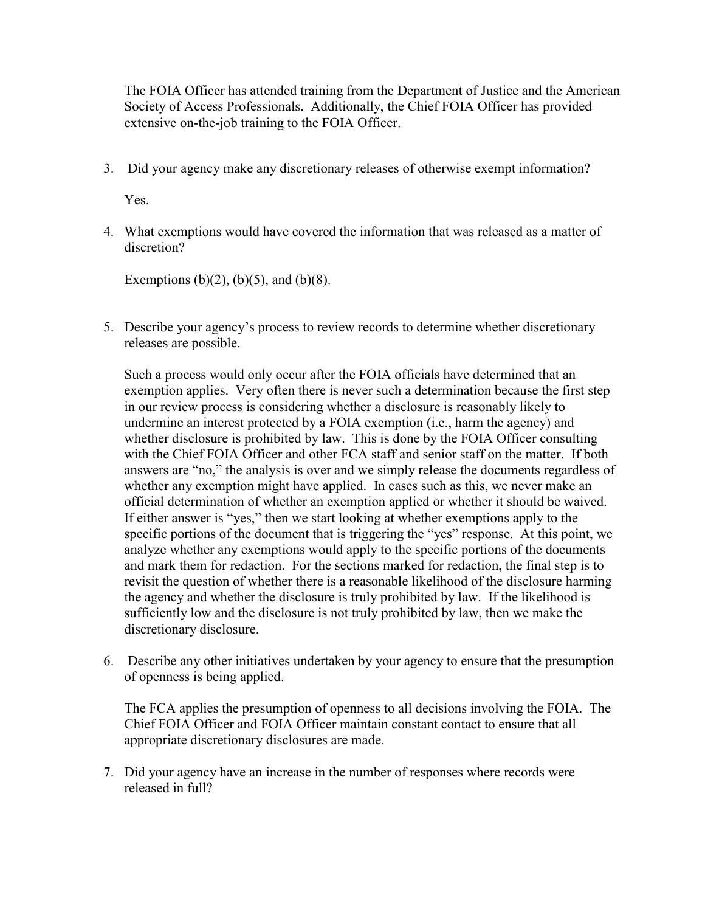The FOIA Officer has attended training from the Department of Justice and the American Society of Access Professionals. Additionally, the Chief FOIA Officer has provided extensive on-the-job training to the FOIA Officer.

3. Did your agency make any discretionary releases of otherwise exempt information?

Yes.

4. What exemptions would have covered the information that was released as a matter of discretion?

Exemptions (b)(2), (b)(5), and (b)(8).

5. Describe your agency's process to review records to determine whether discretionary releases are possible.

Such a process would only occur after the FOIA officials have determined that an exemption applies. Very often there is never such a determination because the first step in our review process is considering whether a disclosure is reasonably likely to undermine an interest protected by a FOIA exemption (i.e., harm the agency) and whether disclosure is prohibited by law. This is done by the FOIA Officer consulting with the Chief FOIA Officer and other FCA staff and senior staff on the matter. If both answers are "no," the analysis is over and we simply release the documents regardless of whether any exemption might have applied. In cases such as this, we never make an official determination of whether an exemption applied or whether it should be waived. If either answer is "yes," then we start looking at whether exemptions apply to the specific portions of the document that is triggering the "yes" response. At this point, we analyze whether any exemptions would apply to the specific portions of the documents and mark them for redaction. For the sections marked for redaction, the final step is to revisit the question of whether there is a reasonable likelihood of the disclosure harming the agency and whether the disclosure is truly prohibited by law. If the likelihood is sufficiently low and the disclosure is not truly prohibited by law, then we make the discretionary disclosure.

6. Describe any other initiatives undertaken by your agency to ensure that the presumption of openness is being applied.

The FCA applies the presumption of openness to all decisions involving the FOIA. The Chief FOIA Officer and FOIA Officer maintain constant contact to ensure that all appropriate discretionary disclosures are made.

7. Did your agency have an increase in the number of responses where records were released in full?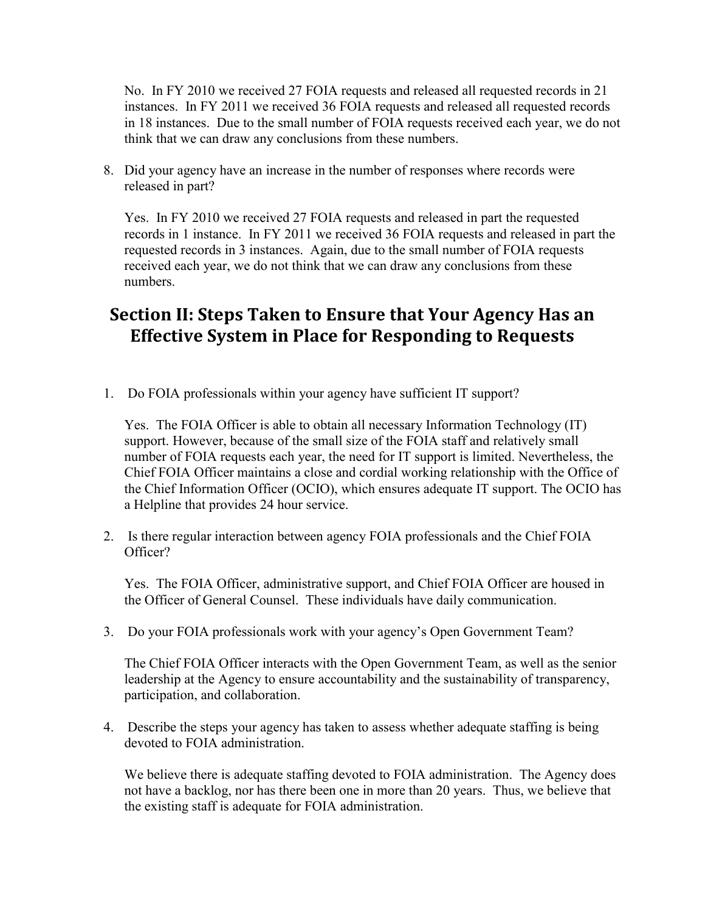No. In FY 2010 we received 27 FOIA requests and released all requested records in 21 instances. In FY 2011 we received 36 FOIA requests and released all requested records in 18 instances. Due to the small number of FOIA requests received each year, we do not think that we can draw any conclusions from these numbers.

8. Did your agency have an increase in the number of responses where records were released in part?

Yes. In FY 2010 we received 27 FOIA requests and released in part the requested records in 1 instance. In FY 2011 we received 36 FOIA requests and released in part the requested records in 3 instances. Again, due to the small number of FOIA requests received each year, we do not think that we can draw any conclusions from these numbers.

# **Section II: Steps Taken to Ensure that Your Agency Has an Effective System in Place for Responding to Requests**

1. Do FOIA professionals within your agency have sufficient IT support?

Yes. The FOIA Officer is able to obtain all necessary Information Technology (IT) support. However, because of the small size of the FOIA staff and relatively small number of FOIA requests each year, the need for IT support is limited. Nevertheless, the Chief FOIA Officer maintains a close and cordial working relationship with the Office of the Chief Information Officer (OCIO), which ensures adequate IT support. The OCIO has a Helpline that provides 24 hour service.

2. Is there regular interaction between agency FOIA professionals and the Chief FOIA Officer?

Yes. The FOIA Officer, administrative support, and Chief FOIA Officer are housed in the Officer of General Counsel. These individuals have daily communication.

3. Do your FOIA professionals work with your agency's Open Government Team?

The Chief FOIA Officer interacts with the Open Government Team, as well as the senior leadership at the Agency to ensure accountability and the sustainability of transparency, participation, and collaboration.

4. Describe the steps your agency has taken to assess whether adequate staffing is being devoted to FOIA administration.

We believe there is adequate staffing devoted to FOIA administration. The Agency does not have a backlog, nor has there been one in more than 20 years. Thus, we believe that the existing staff is adequate for FOIA administration.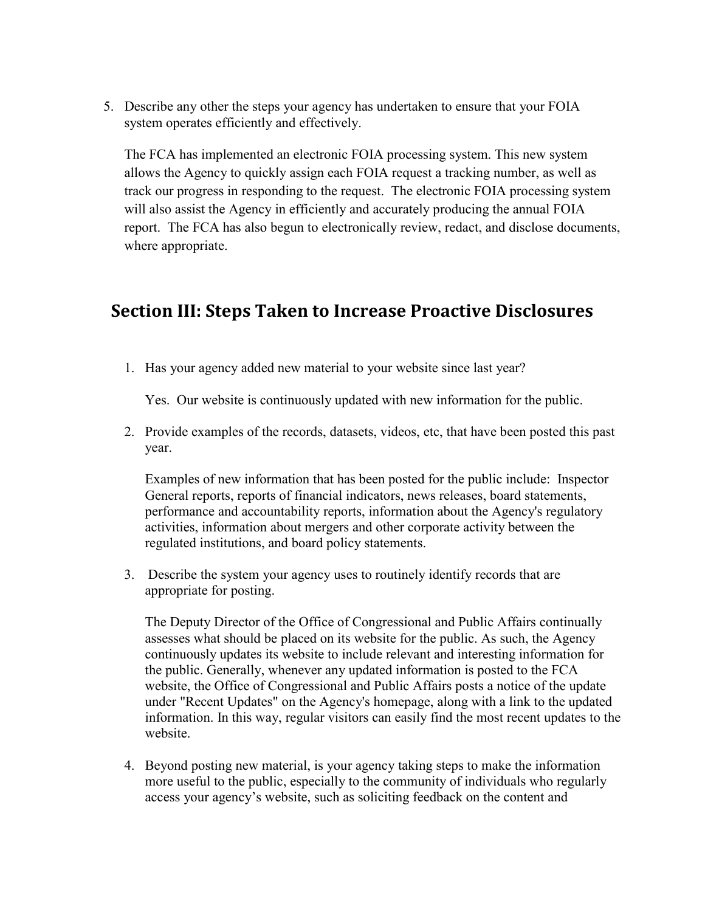5. Describe any other the steps your agency has undertaken to ensure that your FOIA system operates efficiently and effectively.

The FCA has implemented an electronic FOIA processing system. This new system allows the Agency to quickly assign each FOIA request a tracking number, as well as track our progress in responding to the request. The electronic FOIA processing system will also assist the Agency in efficiently and accurately producing the annual FOIA report. The FCA has also begun to electronically review, redact, and disclose documents, where appropriate.

## **Section III: Steps Taken to Increase Proactive Disclosures**

1. Has your agency added new material to your website since last year?

Yes. Our website is continuously updated with new information for the public.

2. Provide examples of the records, datasets, videos, etc, that have been posted this past year.

Examples of new information that has been posted for the public include: Inspector General reports, reports of financial indicators, news releases, board statements, performance and accountability reports, information about the Agency's regulatory activities, information about mergers and other corporate activity between the regulated institutions, and board policy statements.

3. Describe the system your agency uses to routinely identify records that are appropriate for posting.

The Deputy Director of the Office of Congressional and Public Affairs continually assesses what should be placed on its website for the public. As such, the Agency continuously updates its website to include relevant and interesting information for the public. Generally, whenever any updated information is posted to the FCA website, the Office of Congressional and Public Affairs posts a notice of the update under "Recent Updates" on the Agency's homepage, along with a link to the updated information. In this way, regular visitors can easily find the most recent updates to the website.

4. Beyond posting new material, is your agency taking steps to make the information more useful to the public, especially to the community of individuals who regularly access your agency's website, such as soliciting feedback on the content and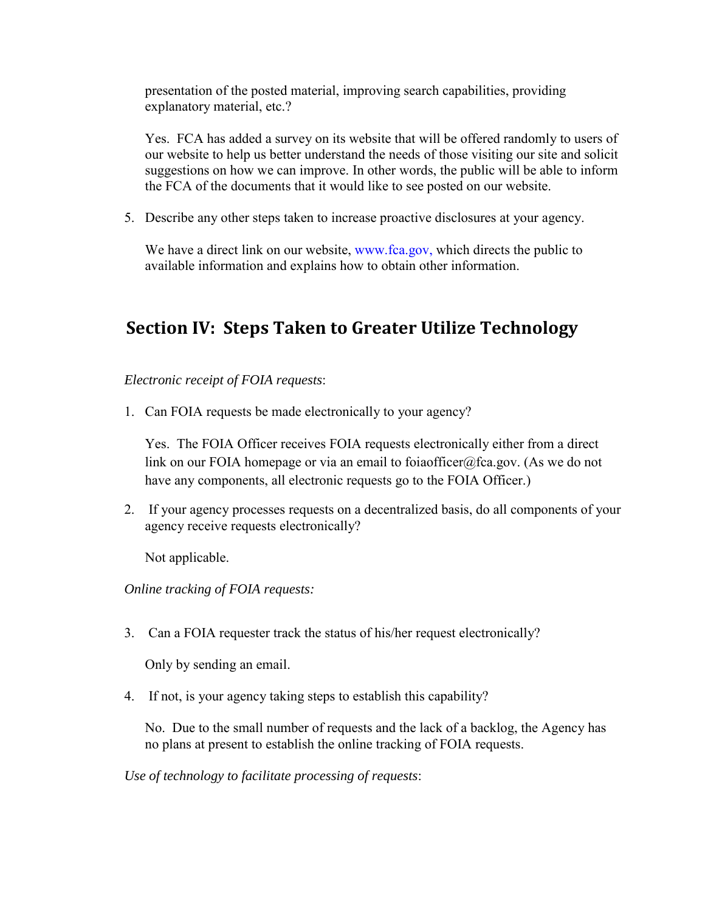presentation of the posted material, improving search capabilities, providing explanatory material, etc.?

Yes. FCA has added a survey on its website that will be offered randomly to users of our website to help us better understand the needs of those visiting our site and solicit suggestions on how we can improve. In other words, the public will be able to inform the FCA of the documents that it would like to see posted on our website.

5. Describe any other steps taken to increase proactive disclosures at your agency.

We have a direct link on our website, www.fca.gov, which directs the public to available information and explains how to obtain other information.

# **Section IV: Steps Taken to Greater Utilize Technology**

*Electronic receipt of FOIA requests*:

1. Can FOIA requests be made electronically to your agency?

Yes. The FOIA Officer receives FOIA requests electronically either from a direct link on our FOIA homepage or via an email to foiaofficer@fca.gov. (As we do not have any components, all electronic requests go to the FOIA Officer.)

2. If your agency processes requests on a decentralized basis, do all components of your agency receive requests electronically?

Not applicable.

*Online tracking of FOIA requests:* 

3. Can a FOIA requester track the status of his/her request electronically?

Only by sending an email.

4. If not, is your agency taking steps to establish this capability?

No. Due to the small number of requests and the lack of a backlog, the Agency has no plans at present to establish the online tracking of FOIA requests.

*Use of technology to facilitate processing of requests*: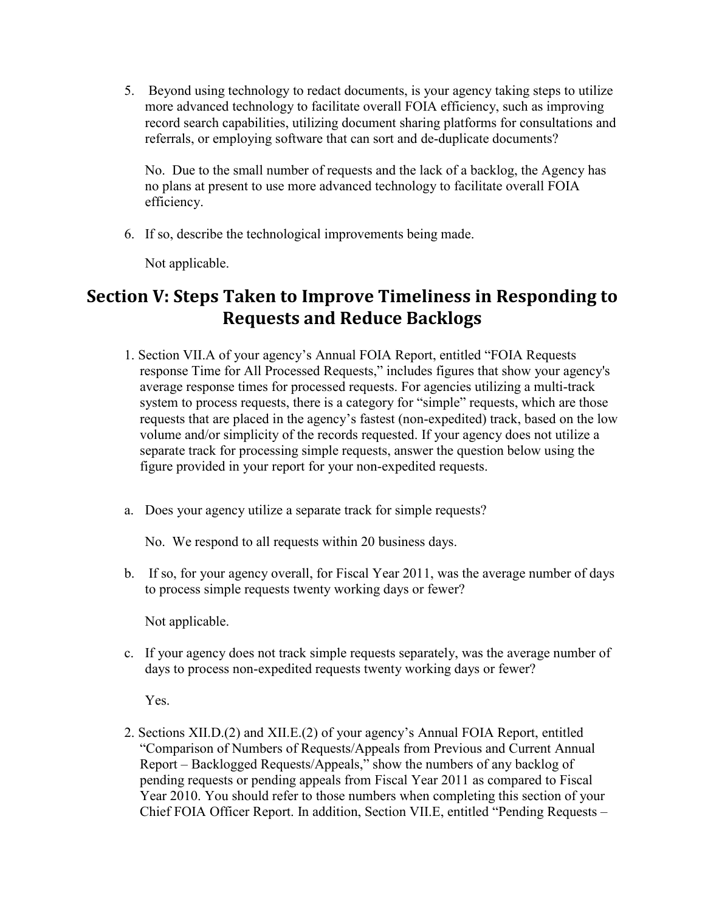5. Beyond using technology to redact documents, is your agency taking steps to utilize more advanced technology to facilitate overall FOIA efficiency, such as improving record search capabilities, utilizing document sharing platforms for consultations and referrals, or employing software that can sort and de-duplicate documents?

No. Due to the small number of requests and the lack of a backlog, the Agency has no plans at present to use more advanced technology to facilitate overall FOIA efficiency.

6. If so, describe the technological improvements being made.

Not applicable.

## **Section V: Steps Taken to Improve Timeliness in Responding to Requests and Reduce Backlogs**

- 1. Section VII.A of your agency's Annual FOIA Report, entitled "FOIA Requests response Time for All Processed Requests," includes figures that show your agency's average response times for processed requests. For agencies utilizing a multi-track system to process requests, there is a category for "simple" requests, which are those requests that are placed in the agency's fastest (non-expedited) track, based on the low volume and/or simplicity of the records requested. If your agency does not utilize a separate track for processing simple requests, answer the question below using the figure provided in your report for your non-expedited requests.
- a. Does your agency utilize a separate track for simple requests?

No. We respond to all requests within 20 business days.

b. If so, for your agency overall, for Fiscal Year 2011, was the average number of days to process simple requests twenty working days or fewer?

Not applicable.

c. If your agency does not track simple requests separately, was the average number of days to process non-expedited requests twenty working days or fewer?

Yes.

2. Sections XII.D.(2) and XII.E.(2) of your agency's Annual FOIA Report, entitled "Comparison of Numbers of Requests/Appeals from Previous and Current Annual Report – Backlogged Requests/Appeals," show the numbers of any backlog of pending requests or pending appeals from Fiscal Year 2011 as compared to Fiscal Year 2010. You should refer to those numbers when completing this section of your Chief FOIA Officer Report. In addition, Section VII.E, entitled "Pending Requests –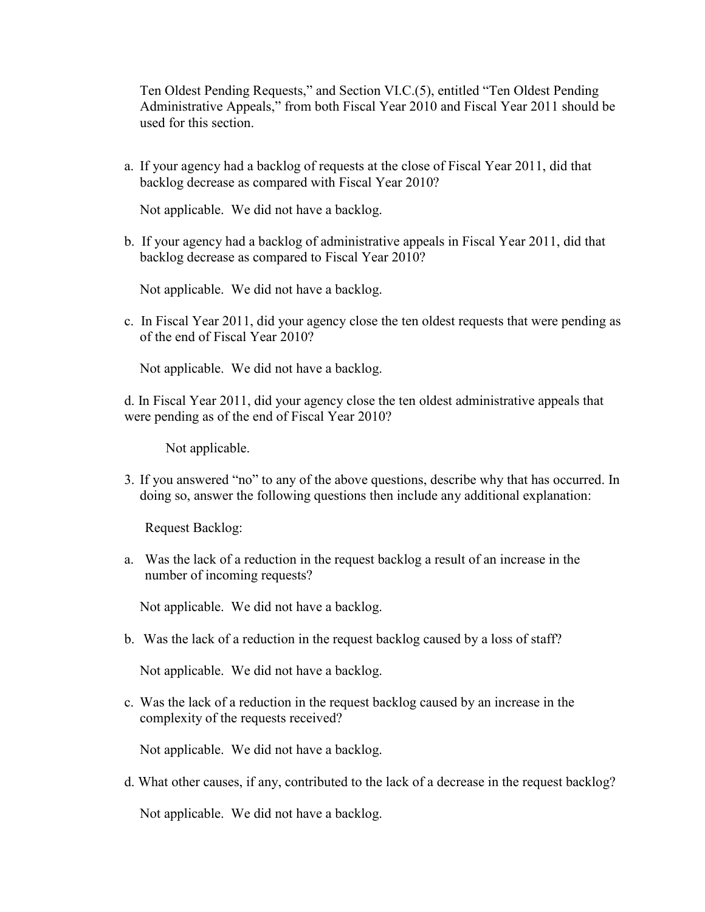Ten Oldest Pending Requests," and Section VI.C.(5), entitled "Ten Oldest Pending Administrative Appeals," from both Fiscal Year 2010 and Fiscal Year 2011 should be used for this section.

a. If your agency had a backlog of requests at the close of Fiscal Year 2011, did that backlog decrease as compared with Fiscal Year 2010?

Not applicable. We did not have a backlog.

b. If your agency had a backlog of administrative appeals in Fiscal Year 2011, did that backlog decrease as compared to Fiscal Year 2010?

Not applicable. We did not have a backlog.

c. In Fiscal Year 2011, did your agency close the ten oldest requests that were pending as of the end of Fiscal Year 2010?

Not applicable. We did not have a backlog.

d. In Fiscal Year 2011, did your agency close the ten oldest administrative appeals that were pending as of the end of Fiscal Year 2010?

Not applicable.

3. If you answered "no" to any of the above questions, describe why that has occurred. In doing so, answer the following questions then include any additional explanation:

Request Backlog:

a. Was the lack of a reduction in the request backlog a result of an increase in the number of incoming requests?

Not applicable. We did not have a backlog.

b. Was the lack of a reduction in the request backlog caused by a loss of staff?

Not applicable. We did not have a backlog.

c. Was the lack of a reduction in the request backlog caused by an increase in the complexity of the requests received?

Not applicable. We did not have a backlog.

d. What other causes, if any, contributed to the lack of a decrease in the request backlog?

Not applicable. We did not have a backlog.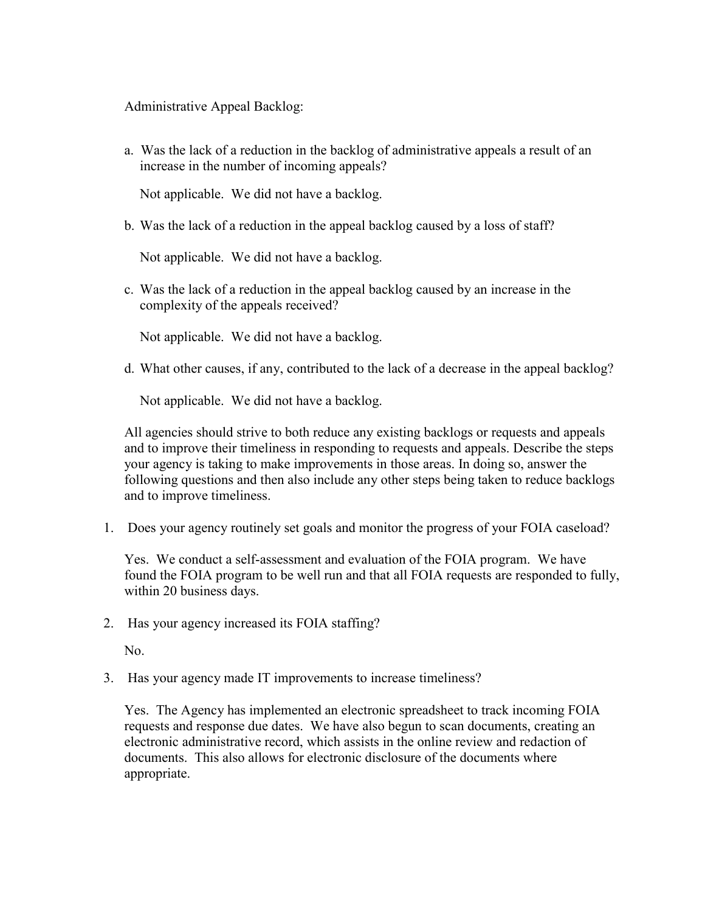Administrative Appeal Backlog:

a. Was the lack of a reduction in the backlog of administrative appeals a result of an increase in the number of incoming appeals?

Not applicable. We did not have a backlog.

b. Was the lack of a reduction in the appeal backlog caused by a loss of staff?

Not applicable. We did not have a backlog.

c. Was the lack of a reduction in the appeal backlog caused by an increase in the complexity of the appeals received?

Not applicable. We did not have a backlog.

d. What other causes, if any, contributed to the lack of a decrease in the appeal backlog?

Not applicable. We did not have a backlog.

All agencies should strive to both reduce any existing backlogs or requests and appeals and to improve their timeliness in responding to requests and appeals. Describe the steps your agency is taking to make improvements in those areas. In doing so, answer the following questions and then also include any other steps being taken to reduce backlogs and to improve timeliness.

1. Does your agency routinely set goals and monitor the progress of your FOIA caseload?

Yes. We conduct a self-assessment and evaluation of the FOIA program. We have found the FOIA program to be well run and that all FOIA requests are responded to fully, within 20 business days.

2. Has your agency increased its FOIA staffing?

No.

3. Has your agency made IT improvements to increase timeliness?

Yes. The Agency has implemented an electronic spreadsheet to track incoming FOIA requests and response due dates. We have also begun to scan documents, creating an electronic administrative record, which assists in the online review and redaction of documents. This also allows for electronic disclosure of the documents where appropriate.